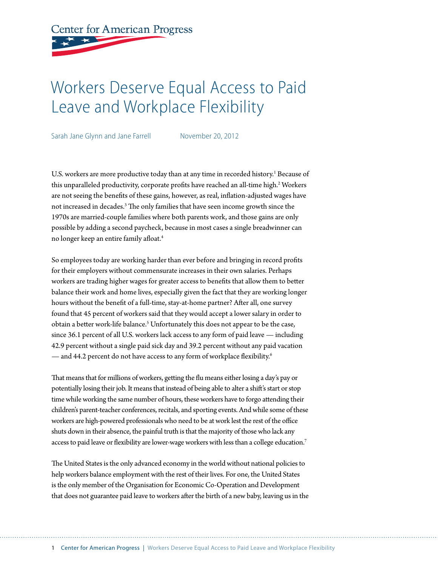# **Center for American Progress**

# Workers Deserve Equal Access to Paid Leave and Workplace Flexibility

Sarah Jane Glynn and Jane Farrell November 20, 2012

U.S. workers are more productive today than at any time in recorded history.<sup>1</sup> Because of this unparalleled productivity, corporate profits have reached an all-time high.<sup>2</sup> Workers are not seeing the benefits of these gains, however, as real, inflation-adjusted wages have not increased in decades.<sup>3</sup> The only families that have seen income growth since the 1970s are married-couple families where both parents work, and those gains are only possible by adding a second paycheck, because in most cases a single breadwinner can no longer keep an entire family afloat.4

So employees today are working harder than ever before and bringing in record profits for their employers without commensurate increases in their own salaries. Perhaps workers are trading higher wages for greater access to benefits that allow them to better balance their work and home lives, especially given the fact that they are working longer hours without the benefit of a full-time, stay-at-home partner? After all, one survey found that 45 percent of workers said that they would accept a lower salary in order to obtain a better work-life balance.<sup>5</sup> Unfortunately this does not appear to be the case, since 36.1 percent of all U.S. workers lack access to any form of paid leave — including 42.9 percent without a single paid sick day and 39.2 percent without any paid vacation — and 44.2 percent do not have access to any form of workplace flexibility.<sup>6</sup>

That means that for millions of workers, getting the flu means either losing a day's pay or potentially losing their job. It means that instead of being able to alter a shift's start or stop time while working the same number of hours, these workers have to forgo attending their children's parent-teacher conferences, recitals, and sporting events. And while some of these workers are high-powered professionals who need to be at work lest the rest of the office shuts down in their absence, the painful truth is that the majority of those who lack any access to paid leave or flexibility are lower-wage workers with less than a college education.<sup>7</sup>

The United States is the only advanced economy in the world without national policies to help workers balance employment with the rest of their lives. For one, the United States is the only member of the Organisation for Economic Co-Operation and Development that does not guarantee paid leave to workers after the birth of a new baby, leaving us in the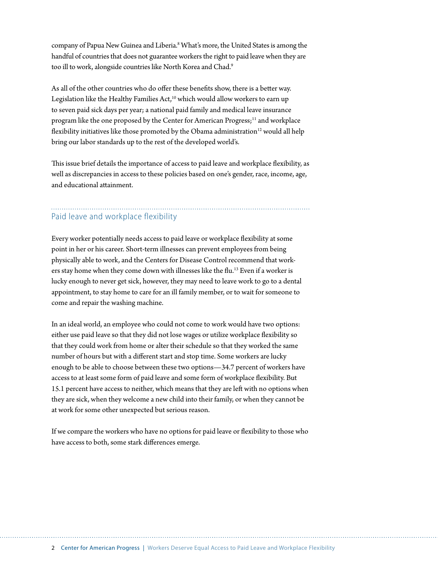company of Papua New Guinea and Liberia.<sup>8</sup> What's more, the United States is among the handful of countries that does not guarantee workers the right to paid leave when they are too ill to work, alongside countries like North Korea and Chad.9

As all of the other countries who do offer these benefits show, there is a better way. Legislation like the Healthy Families Act,<sup>10</sup> which would allow workers to earn up to seven paid sick days per year; a national paid family and medical leave insurance program like the one proposed by the Center for American Progress;<sup>11</sup> and workplace flexibility initiatives like those promoted by the Obama administration $12$  would all help bring our labor standards up to the rest of the developed world's.

This issue brief details the importance of access to paid leave and workplace flexibility, as well as discrepancies in access to these policies based on one's gender, race, income, age, and educational attainment.

# Paid leave and workplace flexibility

Every worker potentially needs access to paid leave or workplace flexibility at some point in her or his career. Short-term illnesses can prevent employees from being physically able to work, and the Centers for Disease Control recommend that workers stay home when they come down with illnesses like the flu.13 Even if a worker is lucky enough to never get sick, however, they may need to leave work to go to a dental appointment, to stay home to care for an ill family member, or to wait for someone to come and repair the washing machine.

In an ideal world, an employee who could not come to work would have two options: either use paid leave so that they did not lose wages or utilize workplace flexibility so that they could work from home or alter their schedule so that they worked the same number of hours but with a different start and stop time. Some workers are lucky enough to be able to choose between these two options—34.7 percent of workers have access to at least some form of paid leave and some form of workplace flexibility. But 15.1 percent have access to neither, which means that they are left with no options when they are sick, when they welcome a new child into their family, or when they cannot be at work for some other unexpected but serious reason.

If we compare the workers who have no options for paid leave or flexibility to those who have access to both, some stark differences emerge.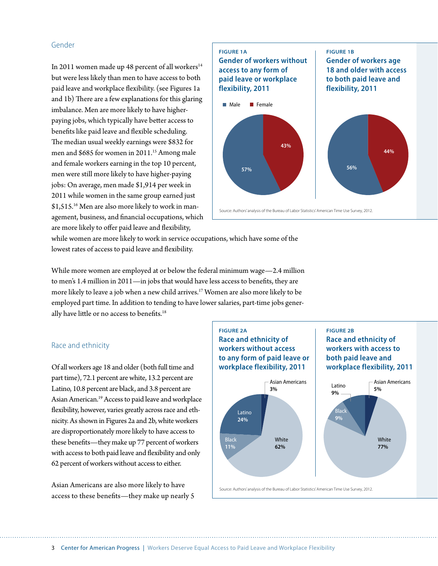### Gender

In 2011 women made up 48 percent of all workers $14$ but were less likely than men to have access to both paid leave and workplace flexibility. (see Figures 1a and 1b) There are a few explanations for this glaring imbalance. Men are more likely to have higherpaying jobs, which typically have better access to benefits like paid leave and flexible scheduling. The median usual weekly earnings were \$832 for men and \$685 for women in 2011.<sup>15</sup> Among male and female workers earning in the top 10 percent, men were still more likely to have higher-paying jobs: On average, men made \$1,914 per week in 2011 while women in the same group earned just \$1,515.<sup>16</sup> Men are also more likely to work in management, business, and financial occupations, which are more likely to offer paid leave and flexibility,



while women are more likely to work in service occupations, which have some of the lowest rates of access to paid leave and flexibility.

While more women are employed at or below the federal minimum wage—2.4 million to men's 1.4 million in 2011—in jobs that would have less access to benefits, they are more likely to leave a job when a new child arrives.17 Women are also more likely to be employed part time. In addition to tending to have lower salaries, part-time jobs generally have little or no access to benefits.<sup>18</sup>

#### Race and ethnicity

Of all workers age 18 and older (both full time and part time), 72.1 percent are white, 13.2 percent are Latino, 10.8 percent are black, and 3.8 percent are Asian American.19 Access to paid leave and workplace flexibility, however, varies greatly across race and ethnicity. As shown in Figures 2a and 2b, white workers are disproportionately more likely to have access to these benefits—they make up 77 percent of workers with access to both paid leave and flexibility and only 62 percent of workers without access to either.

Asian Americans are also more likely to have access to these benefits—they make up nearly 5

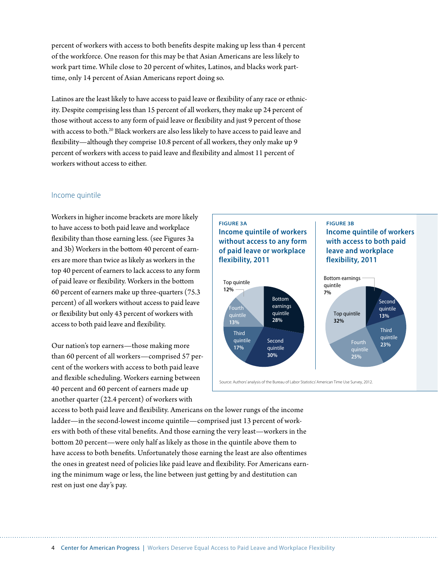percent of workers with access to both benefits despite making up less than 4 percent of the workforce. One reason for this may be that Asian Americans are less likely to work part time. While close to 20 percent of whites, Latinos, and blacks work parttime, only 14 percent of Asian Americans report doing so.

Latinos are the least likely to have access to paid leave or flexibility of any race or ethnicity. Despite comprising less than 15 percent of all workers, they make up 24 percent of those without access to any form of paid leave or flexibility and just 9 percent of those with access to both.<sup>20</sup> Black workers are also less likely to have access to paid leave and flexibility—although they comprise 10.8 percent of all workers, they only make up 9 percent of workers with access to paid leave and flexibility and almost 11 percent of workers without access to either.

#### Income quintile

Workers in higher income brackets are more likely to have access to both paid leave and workplace flexibility than those earning less. (see Figures 3a and 3b) Workers in the bottom 40 percent of earners are more than twice as likely as workers in the top 40 percent of earners to lack access to any form of paid leave or flexibility. Workers in the bottom 60 percent of earners make up three-quarters (75.3 percent) of all workers without access to paid leave or flexibility but only 43 percent of workers with access to both paid leave and flexibility.

Our nation's top earners—those making more than 60 percent of all workers—comprised 57 percent of the workers with access to both paid leave and flexible scheduling. Workers earning between 40 percent and 60 percent of earners made up another quarter (22.4 percent) of workers with

# **FIGURE 3a**

**FIGURE 5a Income quintile of workers Income quintile of workers without access to any form without access to any form of paid leave or workplace of paid leave or workplace flexibility, 2011 flexibility, 2011**



**FIGURE 5b**

**FIGURE 3b**

Income quintile of workers **with access to both paid with access to both paid leave and workplace leave and workplace flexibility, 2011 flexibility, 2011**

Source: Authors' analysis of the Bureau of Labor Statistics' American Time Use Survey, 2012. Source: Authors' analysis of the Bureau of Labor Statistics' American Time Use Survey, 2012.

access to both paid leave and flexibility. Americans on the lower rungs of the income ladder—in the second-lowest income quintile—comprised just 13 percent of workers with both of these vital benefits. And those earning the very least—workers in the bottom 20 percent—were only half as likely as those in the quintile above them to have access to both benefits. Unfortunately those earning the least are also oftentimes the ones in greatest need of policies like paid leave and flexibility. For Americans earning the minimum wage or less, the line between just getting by and destitution can rest on just one day's pay.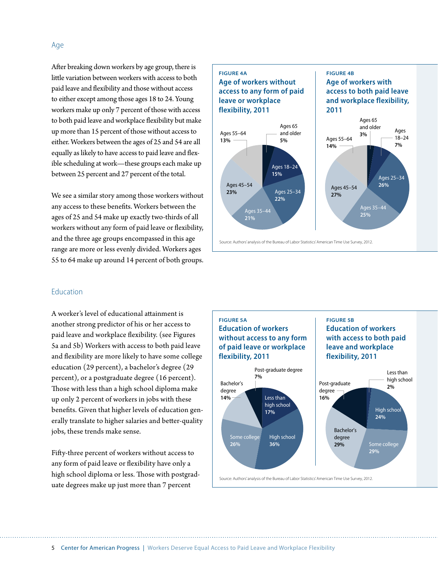After breaking down workers by age group, there is little variation between workers with access to both paid leave and flexibility and those without access to either except among those ages 18 to 24. Young workers make up only 7 percent of those with access to both paid leave and workplace flexibility but make up more than 15 percent of those without access to either. Workers between the ages of 25 and 54 are all equally as likely to have access to paid leave and flexible scheduling at work—these groups each make up between 25 percent and 27 percent of the total.

We see a similar story among those workers without any access to these benefits. Workers between the ages of 25 and 54 make up exactly two-thirds of all workers without any form of paid leave or flexibility, and the three age groups encompassed in this age range are more or less evenly divided. Workers ages 55 to 64 make up around 14 percent of both groups.

### Education

A worker's level of educational attainment is another strong predictor of his or her access to paid leave and workplace flexibility. (see Figures 5a and 5b) Workers with access to both paid leave and flexibility are more likely to have some college education (29 percent), a bachelor's degree (29 percent), or a postgraduate degree (16 percent). Those with less than a high school diploma make up only 2 percent of workers in jobs with these benefits. Given that higher levels of education generally translate to higher salaries and better-quality jobs, these trends make sense.

Fifty-three percent of workers without access to any form of paid leave or flexibility have only a high school diploma or less. Those with postgraduate degrees make up just more than 7 percent

## **FIGURE 2a FIGURE 4a Age of workers without Age of workers without access to any form of paid access to any form of paid leave or workplace leave or workplace flexibility, 2011 flexibility, 2011**



**FIGURE 2b FIGURE 4b**

**2011 2011**

**Age of workers with Age of workers with access to both paid leave access to both paid leave and workplace flexibility, and workplace flexibility,** 

Source: Authors' analysis of the Bureau of Labor Statistics' American Time Use Survey, 2012. Source: Authors' analysis of the Bureau of Labor Statistics' American Time Use Survey, 2012.

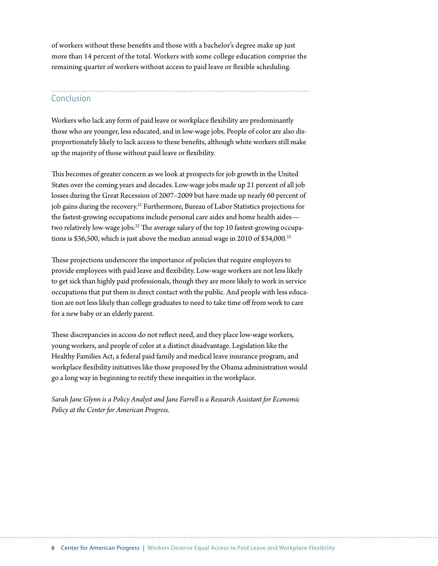of workers without these benefits and those with a bachelor's degree make up just more than 14 percent of the total. Workers with some college education comprise the remaining quarter of workers without access to paid leave or flexible scheduling.

# Conclusion

Workers who lack any form of paid leave or workplace flexibility are predominantly those who are younger, less educated, and in low-wage jobs. People of color are also disproportionately likely to lack access to these benefits, although white workers still make up the majority of those without paid leave or flexibility.

This becomes of greater concern as we look at prospects for job growth in the United States over the coming years and decades. Low-wage jobs made up 21 percent of all job losses during the Great Recession of 2007–2009 but have made up nearly 60 percent of job gains during the recovery.<sup>21</sup> Furthermore, Bureau of Labor Statistics projections for the fastest-growing occupations include personal care aides and home health aides two relatively low-wage jobs.<sup>22</sup> The average salary of the top 10 fastest-growing occupations is \$36,500, which is just above the median annual wage in 2010 of \$34,000.<sup>23</sup>

These projections underscore the importance of policies that require employers to provide employees with paid leave and flexibility. Low-wage workers are not less likely to get sick than highly paid professionals, though they are more likely to work in service occupations that put them in direct contact with the public. And people with less education are not less likely than college graduates to need to take time off from work to care for a new baby or an elderly parent.

These discrepancies in access do not reflect need, and they place low-wage workers, young workers, and people of color at a distinct disadvantage. Legislation like the Healthy Families Act, a federal paid family and medical leave insurance program, and workplace flexibility initiatives like those proposed by the Obama administration would go a long way in beginning to rectify these inequities in the workplace.

*Sarah Jane Glynn is a Policy Analyst and Jane Farrell is a Research Assistant for Economic Policy at the Center for American Progress.*